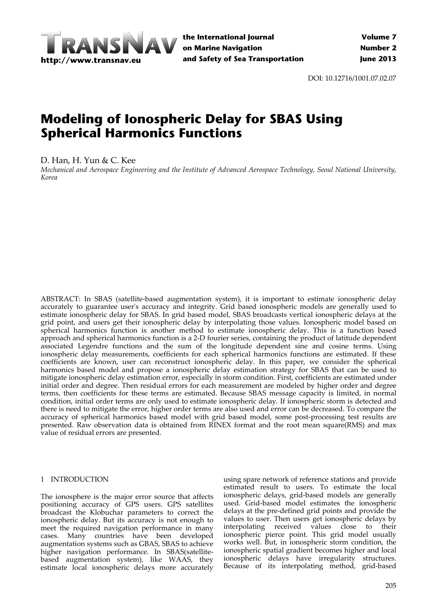

DOI: 10.12716/1001.07.02.07

# **Modeling of Ionospheric Delay for SBAS Using Spherical Harmonics Functions**

D. Han, H. Yun & C. Kee

*Mechanical and Aerospace Engineering and the Institute of Advanced Aerospace Technology, Seoul National University, Korea*

ABSTRACT: In SBAS (satellite‐based augmentation system), it is important to estimate ionospheric delay accurately to guarantee userʹs accuracy and integrity. Grid based ionospheric models are generally used to estimate ionospheric delay for SBAS. In grid based model, SBAS broadcasts vertical ionospheric delays at the grid point, and users get their ionospheric delay by interpolating those values. Ionospheric model based on spherical harmonics function is another method to estimate ionospheric delay. This is a function based approach and spherical harmonics function is a 2‐D fourier series, containing the product of latitude dependent associated Legendre functions and the sum of the longitude dependent sine and cosine terms. Using ionospheric delay measurements, coefficients for each spherical harmonics functions are estimated. If these coefficients are known, user can reconstruct ionospheric delay. In this paper, we consider the spherical harmonics based model and propose a ionospheric delay estimation strategy for SBAS that can be used to mitigate ionospheric delay estimation error, especially in storm condition. First, coefficients are estimated under initial order and degree. Then residual errors for each measurement are modeled by higher order and degree terms, then coefficients for these terms are estimated. Because SBAS message capacity is limited, in normal condition, initial order terms are only used to estimate ionospheric delay. If ionospheric storm is detected and there is need to mitigate the error, higher order terms are also used and error can be decreased. To compare the accuracy of spherical harmonics based model with grid based model, some post-processing test results are presented. Raw observation data is obtained from RINEX format and the root mean square(RMS) and max value of residual errors are presented.

# 1 INTRODUCTION

The ionosphere is the major error source that affects positioning accuracy of GPS users. GPS satellites broadcast the Klobuchar parameters to correct the ionospheric delay. But its accuracy is not enough to meet the required navigation performance in many cases. Many countries have been developed augmentation systems such as GBAS, SBAS to achieve higher navigation performance. In SBAS(satellite‐ based augmentation system), like WAAS, they estimate local ionospheric delays more accurately

using spare network of reference stations and provide estimated result to users. To estimate the local ionospheric delays, grid‐based models are generally used. Grid‐based model estimates the ionospheric delays at the pre‐defined grid points and provide the values to user. Then users get ionospheric delays by interpolating received values close to their ionospheric pierce point. This grid model usually works well. But, in ionospheric storm condition, the ionospheric spatial gradient becomes higher and local ionospheric delays have irregularity structures. Because of its interpolating method, grid‐based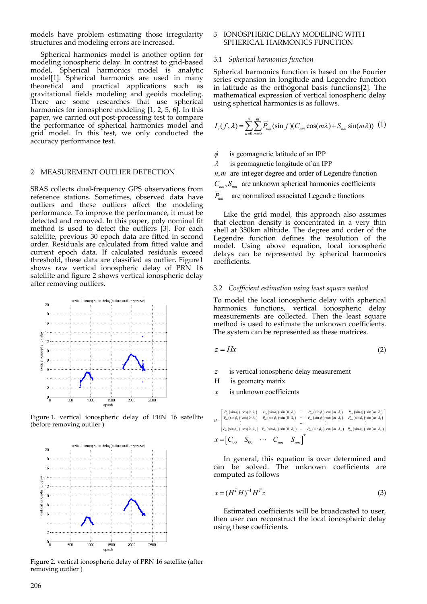models have problem estimating those irregularity structures and modeling errors are increased.

Spherical harmonics model is another option for modeling ionospheric delay. In contrast to grid‐based model, Spherical harmonics model is analytic model[1]. Spherical harmonics are used in many theoretical and practical applications such as gravitational fields modeling and geoids modeling. There are some researches that use spherical harmonics for ionosphere modeling [1, 2, 5, 6]. In this paper, we carried out post‐processing test to compare the performance of spherical harmonics model and grid model. In this test, we only conducted the accuracy performance test.

# 2 MEASUREMENT OUTLIER DETECTION

SBAS collects dual‐frequency GPS observations from reference stations. Sometimes, observed data have outliers and these outliers affect the modeling performance. To improve the performance, it must be detected and removed. In this paper, poly nominal fit method is used to detect the outliers [3]. For each satellite, previous 30 epoch data are fitted in second order. Residuals are calculated from fitted value and current epoch data. If calculated residuals exceed threshold, these data are classified as outlier. Figure1 shows raw vertical ionospheric delay of PRN 16 satellite and figure 2 shows vertical ionospheric delay after removing outliers.



Figure 1. vertical ionospheric delay of PRN 16 satellite (before removing outlier )



Figure 2. vertical ionospheric delay of PRN 16 satellite (after removing outlier )

## 3 IONOSPHERIC DELAY MODELING WITH SPHERICAL HARMONICS FUNCTION

### 3.1 *Spherical harmonics function*

Spherical harmonics function is based on the Fourier series expansion in longitude and Legendre function in latitude as the orthogonal basis functions[2]. The mathematical expression of vertical ionospheric delay using spherical harmonics is as follows.

$$
I_{\nu}(f,\lambda) = \sum_{n=0}^{n} \sum_{m=0}^{m} \overline{P}_{nm}(\sin f)(C_{nm} \cos(m\lambda) + S_{nm} \sin(m\lambda)) \tag{1}
$$

is geomagnetic latitude of an IPP

 $\lambda$  is geomagnetic longitude of an IPP

*n m*, are int eger degree and order of Legendre function

 $C_{nm}$ ,  $S_{nm}$  are unknown spherical harmonics coefficients

 $\bar{P}_{nm}$  are normalized associated Legendre functions

Like the grid model, this approach also assumes that electron density is concentrated in a very thin shell at 350km altitude. The degree and order of the Legendre function defines the resolution of the model. Using above equation, local ionospheric delays can be represented by spherical harmonics coefficients.

#### 3.2 *Coefficient estimation using least square method*

To model the local ionospheric delay with spherical harmonics functions, vertical ionospheric delay measurements are collected. Then the least square method is used to estimate the unknown coefficients. The system can be represented as these matrices.

$$
z = Hx \tag{2}
$$

- *z* is vertical ionospheric delay measurement
- H is geometry matrix
- *x* is unknown coefficients

$$
H = \begin{bmatrix} P_{00}(\sin\phi_1) \cdot \cos(0 \cdot \lambda_1) & P_{00}(\sin\phi_1) \cdot \sin(0 \cdot \lambda_1) & \cdots & P_{nn}(\sin\phi_1) \cdot \cos(m \cdot \lambda_1) & P_{nn}(\sin\phi_1) \cdot \sin(m \cdot \lambda_1) \\ P_{00}(\sin\phi_2) \cdot \cos(0 \cdot \lambda_2) & P_{00}(\sin\phi_2) \cdot \sin(0 \cdot \lambda_2) & \cdots & P_{nn}(\sin\phi_2) \cdot \cos(m \cdot \lambda_2) & P_{nn}(\sin\phi_2) \cdot \sin(m \cdot \lambda_2) \\ \vdots & \vdots & \vdots & \vdots & \vdots & \vdots \\ P_{00}(\sin\phi_N) \cdot \cos(0 \cdot \lambda_N) & P_{00}(\sin\phi_N) \cdot \sin(0 \cdot \lambda_N) & \cdots & P_{nn}(\sin\phi_N) \cdot \cos(m \cdot \lambda_N) & P_{nn}(\sin\phi_N) \cdot \sin(m \cdot \lambda_N) \\ \vdots & \vdots & \vdots & \vdots & \vdots \\ P_{00} \cdot \cos(0 \cdot \lambda_N) & P_{00}(\sin\phi_N) \cdot \cos(m \cdot \lambda_N) & P_{nn}(\sin\phi_N) \cdot \cos(m \cdot \lambda_N) & P_{nn}(\sin\phi_N) \cdot \sin(m \cdot \lambda_N) \end{bmatrix}
$$

In general, this equation is over determined and can be solved. The unknown coefficients are computed as follows

$$
x = (HT H)^{-1} HT z
$$
\n(3)

Estimated coefficients will be broadcasted to user, then user can reconstruct the local ionospheric delay using these coefficients.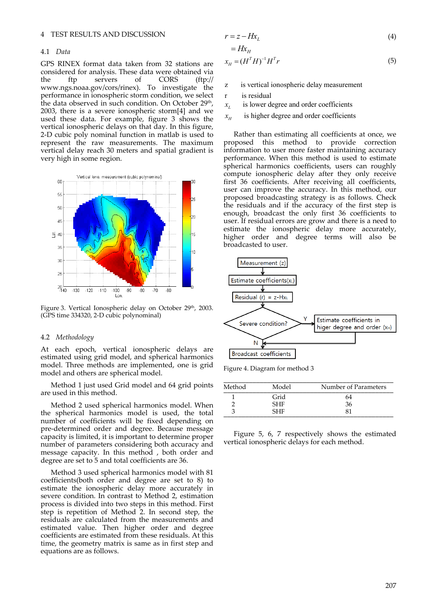## 4 TEST RESULTS AND DISCUSSION

#### 4.1 *Data*

GPS RINEX format data taken from 32 stations are considered for analysis. These data were obtained via the ftp servers of CORS (ftp:// www.ngs.noaa.gov/cors/rinex). To investigate the performance in ionospheric storm condition, we select the data observed in such condition. On October 29<sup>th</sup>, 2003, there is a severe ionospheric storm[4] and we used these data. For example, figure 3 shows the vertical ionospheric delays on that day. In this figure, 2‐D cubic poly nominal function in matlab is used to represent the raw measurements. The maximum vertical delay reach 30 meters and spatial gradient is very high in some region.



Figure 3. Vertical Ionospheric delay on October 29<sup>th</sup>, 2003. (GPS time 334320, 2‐D cubic polynominal)

#### 4.2 *Methodology*

At each epoch, vertical ionospheric delays are estimated using grid model, and spherical harmonics model. Three methods are implemented, one is grid model and others are spherical model.

Method 1 just used Grid model and 64 grid points are used in this method.

Method 2 used spherical harmonics model. When the spherical harmonics model is used, the total number of coefficients will be fixed depending on pre‐determined order and degree. Because message capacity is limited, it is important to determine proper number of parameters considering both accuracy and message capacity. In this method , both order and degree are set to 5 and total coefficients are 36.

Method 3 used spherical harmonics model with 81 coefficients(both order and degree are set to 8) to estimate the ionospheric delay more accurately in severe condition. In contrast to Method 2, estimation process is divided into two steps in this method. First step is repetition of Method 2. In second step, the residuals are calculated from the measurements and estimated value. Then higher order and degree coefficients are estimated from these residuals. At this time, the geometry matrix is same as in first step and equations are as follows.

$$
r = z - Hx_L \tag{4}
$$

$$
=Hx_{H}
$$
  

$$
x_{H}=(H^{T}H)^{-1}H^{T}r
$$
\n(5)

- z is vertical ionospheric delay measurement
- r is residual
- $x_L$  is lower degree and order coefficients
- $x_{\mu}$  is higher degree and order coefficients

Rather than estimating all coefficients at once, we proposed this method to provide correction information to user more faster maintaining accuracy performance. When this method is used to estimate spherical harmonics coefficients, users can roughly compute ionospheric delay after they only receive first 36 coefficients. After receiving all coefficients, user can improve the accuracy. In this method, our proposed broadcasting strategy is as follows. Check the residuals and if the accuracy of the first step is enough, broadcast the only first 36 coefficients to user. If residual errors are grow and there is a need to estimate the ionospheric delay more accurately, higher order and degree terms will also be broadcasted to user.



Figure 4. Diagram for method 3

| Method | Model      | Number of Parameters |
|--------|------------|----------------------|
|        | Grid       | 64                   |
|        | <b>SHF</b> | 36                   |
|        | <b>SHF</b> | 81                   |

Figure 5, 6, 7 respectively shows the estimated vertical ionospheric delays for each method.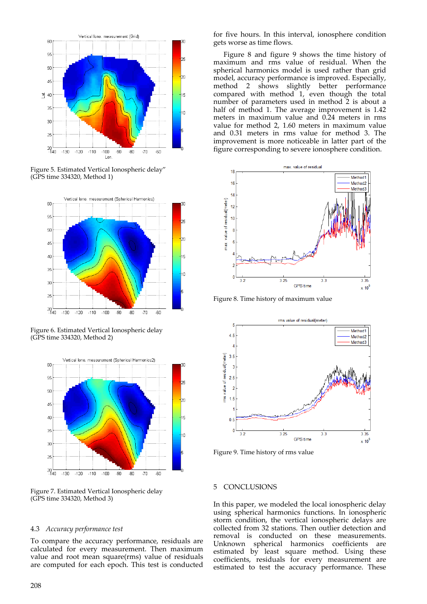

Figure 5. Estimated Vertical Ionospheric delay" (GPS time 334320, Method 1)



Figure 6. Estimated Vertical Ionospheric delay (GPS time 334320, Method 2)



Figure 7. Estimated Vertical Ionospheric delay (GPS time 334320, Method 3)

## 4.3 *Accuracy performance test*

To compare the accuracy performance, residuals are calculated for every measurement. Then maximum value and root mean square(rms) value of residuals are computed for each epoch. This test is conducted

for five hours. In this interval, ionosphere condition gets worse as time flows.

Figure 8 and figure 9 shows the time history of maximum and rms value of residual. When the spherical harmonics model is used rather than grid model, accuracy performance is improved. Especially, method 2 shows slightly better performance compared with method 1, even though the total number of parameters used in method 2 is about a half of method 1. The average improvement is 1.42 meters in maximum value and 0.24 meters in rms value for method 2, 1.60 meters in maximum value and 0.31 meters in rms value for method 3. The improvement is more noticeable in latter part of the figure corresponding to severe ionosphere condition.



Figure 8. Time history of maximum value



Figure 9. Time history of rms value

#### 5 CONCLUSIONS

In this paper, we modeled the local ionospheric delay using spherical harmonics functions. In ionospheric storm condition, the vertical ionospheric delays are collected from 32 stations. Then outlier detection and removal is conducted on these measurements. Unknown spherical harmonics coefficients are estimated by least square method. Using these coefficients, residuals for every measurement are estimated to test the accuracy performance. These